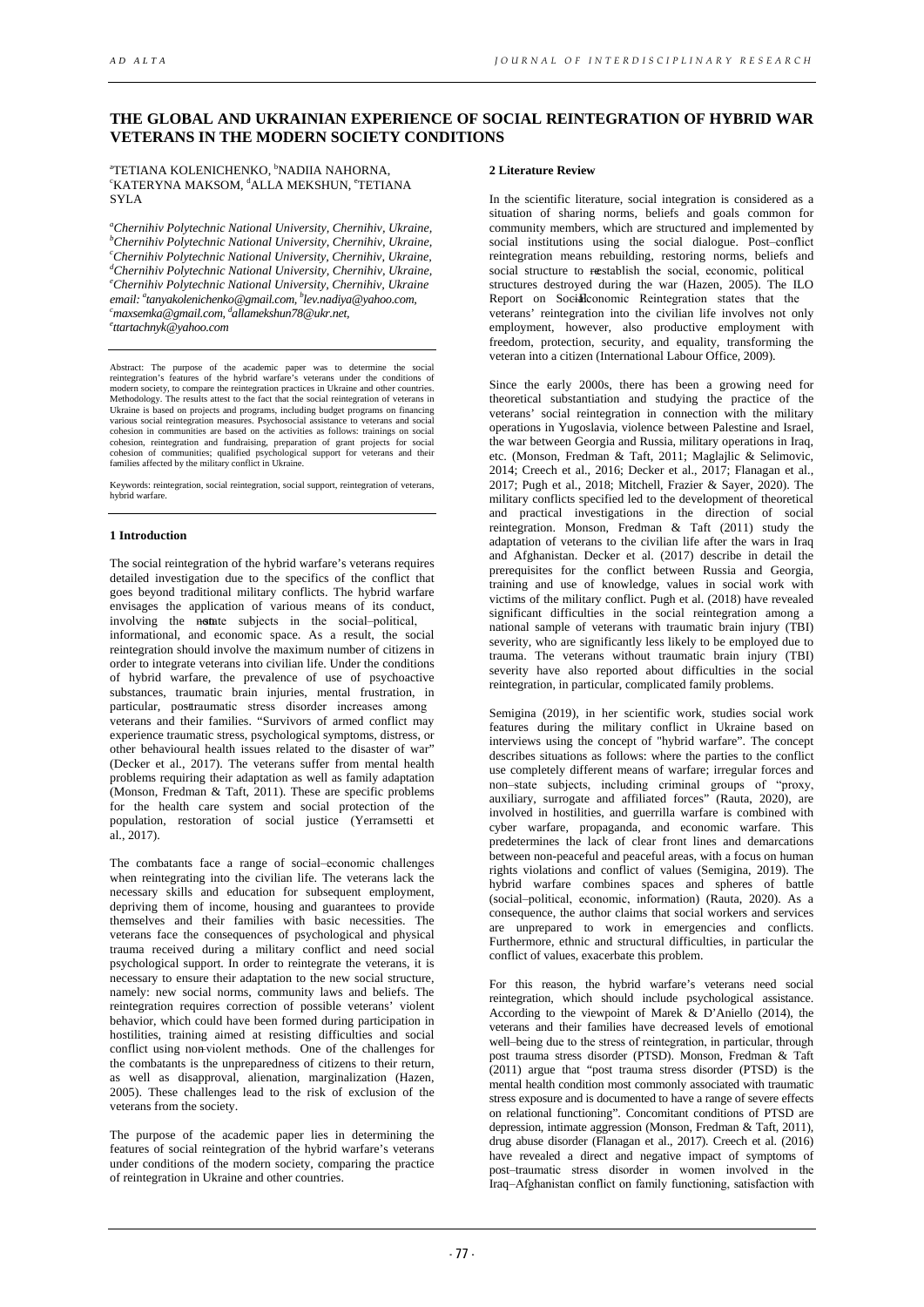# **THE GLOBAL AND UKRAINIAN EXPERIENCE OF SOCIAL REINTEGRATION OF HYBRID WAR VETERANS IN THE MODERN SOCIETY CONDITIONS**

<sup>a</sup>tetiana kolenichenko, <sup>b</sup>nadiia nahorna,<br><sup>ekated</sup> vna maksom <sup>d</sup>ali a mekshiin °tetia KATERYNA MAKSOM, dALLA MEKSHUN, °TETIANA SYLA

*a Chernihiv Polytechnic National University, Chernihiv, Ukraine, b Chernihiv Polytechnic National University, Chernihiv, Ukraine, c Chernihiv Polytechnic National University, Chernihiv, Ukraine, d* <sup>d</sup>Chernihiv Polytechnic National University, Chernihiv, Ukraine, *email: tanyakolenichenko@gmail.com, b lev.nadiya@yahoo.com, c Chernihiv Polytechnic National University, Chernihiv, Ukraine a* <sup>c</sup>maxsemka@gmail.com, <sup>d</sup>allamekshun78@ukr.net,<br><sup>e</sup>ttartachmyk@yahoo.com *ttartachnyk@yahoo.com*

Abstract: The purpose of the academic paper was to determine the social reintegration's features of the hybrid warfare's veterans under the conditions of modern society, to compare the reintegration practices in Ukraine and other countries. Methodology. The results attest to the fact that the social reintegration of veterans in Ukraine is based on projects and programs, including budget programs on financing various social reintegration measures. Psychosocial assistance to veterans and social cohesion in communities are based on the activities as follows: trainings on social cohesion, reintegration and fundraising, preparation of grant projects for social cohesion of communities; qualified psychological support for veterans and their families affected by the military conflict in Ukraine.

Keywords: reintegration, social reintegration, social support, reintegration of veterans, hybrid warfare.

# **1 Introduction**

The social reintegration of the hybrid warfare's veterans requires detailed investigation due to the specifics of the conflict that goes beyond traditional military conflicts. The hybrid warfare envisages the application of various means of its conduct, involving the notate subjects in the social-political, informational, and economic space. As a result, the social reintegration should involve the maximum number of citizens in order to integrate veterans into civilian life. Under the conditions of hybrid warfare, the prevalence of use of psychoactive substances, traumatic brain injuries, mental frustration, in particular, posttraumatic stress disorder increases among veterans and their families. "Survivors of armed conflict may experience traumatic stress, psychological symptoms, distress, or other behavioural health issues related to the disaster of war" (Decker et al., 2017). The veterans suffer from mental health problems requiring their adaptation as well as family adaptation (Monson, Fredman & Taft, 2011). These are specific problems for the health care system and social protection of the population, restoration of social justice (Yerramsetti et al., 2017).

The combatants face a range of social-economic challenges when reintegrating into the civilian life. The veterans lack the necessary skills and education for subsequent employment, depriving them of income, housing and guarantees to provide themselves and their families with basic necessities. The veterans face the consequences of psychological and physical trauma received during a military conflict and need social psychological support. In order to reintegrate the veterans, it is necessary to ensure their adaptation to the new social structure, namely: new social norms, community laws and beliefs. The reintegration requires correction of possible veterans' violent behavior, which could have been formed during participation in hostilities, training aimed at resisting difficulties and social conflict using non-violent methods. One of the challenges for the combatants is the unpreparedness of citizens to their return, as well as disapproval, alienation, marginalization (Hazen, 2005). These challenges lead to the risk of exclusion of the veterans from the society.

The purpose of the academic paper lies in determining the features of social reintegration of the hybrid warfare's veterans under conditions of the modern society, comparing the practice of reintegration in Ukraine and other countries.

## **2 Literature Review**

In the scientific literature, social integration is considered as a situation of sharing norms, beliefs and goals common for community members, which are structured and implemented by social institutions using the social dialogue. Post-conflict reintegration means rebuilding, restoring norms, beliefs and social structure to restablish the social, economic, political structures destroyed during the war (Hazen, 2005). The ILO Report on Socidlconomic Reintegration states that the veterans' reintegration into the civilian life involves not only employment, however, also productive employment with freedom, protection, security, and equality, transforming the veteran into a citizen (International Labour Office, 2009).

Since the early 2000s, there has been a growing need for theoretical substantiation and studying the practice of the veterans' social reintegration in connection with the military operations in Yugoslavia, violence between Palestine and Israel, the war between Georgia and Russia, military operations in Iraq, etc. (Monson, Fredman & Taft, 2011; Maglajlic & Selimovic, 2014; Creech et al., 2016; Decker et al., 2017; Flanagan et al., 2017; Pugh et al., 2018; Mitchell, Frazier & Sayer, 2020). The military conflicts specified led to the development of theoretical and practical investigations in the direction of social reintegration. Monson, Fredman & Taft (2011) study the adaptation of veterans to the civilian life after the wars in Iraq and Afghanistan. Decker et al. (2017) describe in detail the prerequisites for the conflict between Russia and Georgia, training and use of knowledge, values in social work with victims of the military conflict. Pugh et al. (2018) have revealed significant difficulties in the social reintegration among a national sample of veterans with traumatic brain injury (TBI) severity, who are significantly less likely to be employed due to trauma. The veterans without traumatic brain injury (TBI) severity have also reported about difficulties in the social reintegration, in particular, complicated family problems.

Semigina (2019), in her scientific work, studies social work features during the military conflict in Ukraine based on interviews using the concept of "hybrid warfare". The concept describes situations as follows: where the parties to the conflict use completely different means of warfare; irregular forces and non‒state subjects, including criminal groups of "proxy, auxiliary, surrogate and affiliated forces" (Rauta, 2020), are involved in hostilities, and guerrilla warfare is combined with cyber warfare, propaganda, and economic warfare. This predetermines the lack of clear front lines and demarcations between non-peaceful and peaceful areas, with a focus on human rights violations and conflict of values (Semigina, 2019). The hybrid warfare combines spaces and spheres of battle (social‒political, economic, information) (Rauta, 2020). As a consequence, the author claims that social workers and services are unprepared to work in emergencies and conflicts. Furthermore, ethnic and structural difficulties, in particular the conflict of values, exacerbate this problem.

For this reason, the hybrid warfare's veterans need social reintegration, which should include psychological assistance. According to the viewpoint of Marek & D'Aniello (2014), the veterans and their families have decreased levels of emotional well-being due to the stress of reintegration, in particular, through post trauma stress disorder (PTSD). Monson, Fredman & Taft (2011) argue that "post trauma stress disorder (PTSD) is the mental health condition most commonly associated with traumatic stress exposure and is documented to have a range of severe effects on relational functioning". Concomitant conditions of PTSD are depression, intimate aggression (Monson, Fredman & Taft, 2011), drug abuse disorder (Flanagan et al., 2017). Creech et al. (2016) have revealed a direct and negative impact of symptoms of post-traumatic stress disorder in women involved in the Iraq‒Afghanistan conflict on family functioning, satisfaction with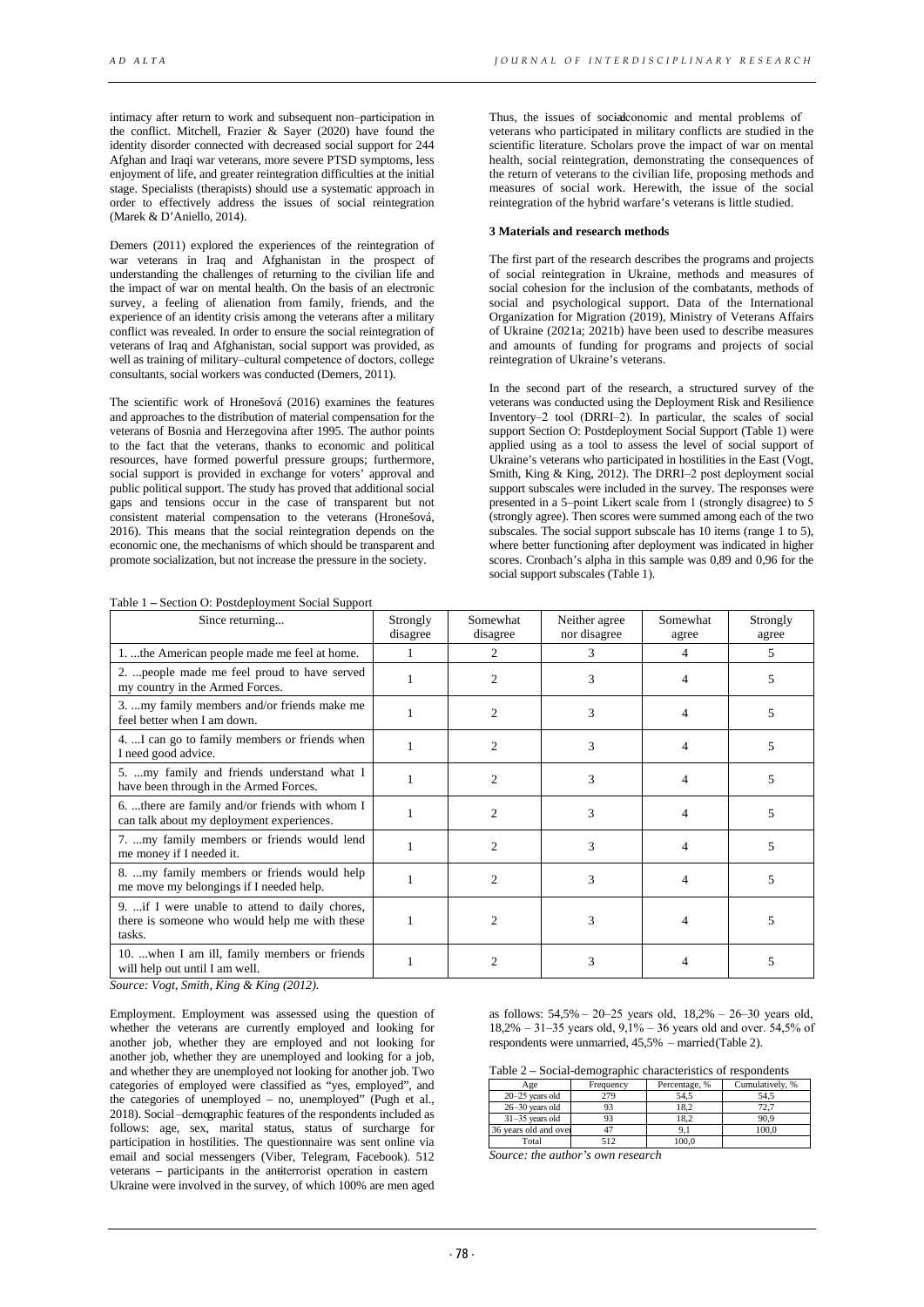intimacy after return to work and subsequent non-participation in the conflict. Mitchell, Frazier & Sayer (2020) have found the identity disorder connected with decreased social support for 244 Afghan and Iraqi war veterans, more severe PTSD symptoms, less enjoyment of life, and greater reintegration difficulties at the initial stage. Specialists (therapists) should use a systematic approach in order to effectively address the issues of social reintegration (Marek & D'Aniello, 2014).

Demers (2011) explored the experiences of the reintegration of war veterans in Iraq and Afghanistan in the prospect of understanding the challenges of returning to the civilian life and the impact of war on mental health. On the basis of an electronic survey, a feeling of alienation from family, friends, and the experience of an identity crisis among the veterans after a military conflict was revealed. In order to ensure the social reintegration of veterans of Iraq and Afghanistan, social support was provided, as well as training of military-cultural competence of doctors, college consultants, social workers was conducted (Demers, 2011).

The scientific work of Hronešová (2016) examines the features and approaches to the distribution of material compensation for the veterans of Bosnia and Herzegovina after 1995. The author points to the fact that the veterans, thanks to economic and political resources, have formed powerful pressure groups; furthermore, social support is provided in exchange for voters' approval and public political support. The study has proved that additional social gaps and tensions occur in the case of transparent but not consistent material compensation to the veterans (Hronešová, 2016). This means that the social reintegration depends on the economic one, the mechanisms of which should be transparent and promote socialization, but not increase the pressure in the society.

Table 1 **–** Section O: Postdeployment Social Support

Thus, the issues of social conomic and mental problems of veterans who participated in military conflicts are studied in the scientific literature. Scholars prove the impact of war on mental health, social reintegration, demonstrating the consequences of the return of veterans to the civilian life, proposing methods and measures of social work. Herewith, the issue of the social reintegration of the hybrid warfare's veterans is little studied.

### **3 Materials and research methods**

The first part of the research describes the programs and projects of social reintegration in Ukraine, methods and measures of social cohesion for the inclusion of the combatants, methods of social and psychological support. Data of the International Organization for Migration (2019), Ministry of Veterans Affairs of Ukraine (2021a; 2021b) have been used to describe measures and amounts of funding for programs and projects of social reintegration of Ukraine's veterans.

In the second part of the research, a structured survey of the veterans was conducted using the Deployment Risk and Resilience Inventory-2 tool (DRRI-2). In particular, the scales of social support Section O: Postdeployment Social Support (Table 1) were applied using as a tool to assess the level of social support of Ukraine's veterans who participated in hostilities in the East (Vogt, Smith, King & King, 2012). The DRRI-2 post deployment social support subscales were included in the survey. The responses were presented in a 5-point Likert scale from 1 (strongly disagree) to 5 (strongly agree). Then scores were summed among each of the two subscales. The social support subscale has 10 items (range 1 to 5), where better functioning after deployment was indicated in higher scores. Cronbach's alpha in this sample was 0,89 and 0,96 for the social support subscales (Table 1).

| Since returning                                                                                            | Strongly<br>disagree | Somewhat<br>disagree | Neither agree<br>nor disagree | Somewhat<br>agree | Strongly<br>agree |
|------------------------------------------------------------------------------------------------------------|----------------------|----------------------|-------------------------------|-------------------|-------------------|
| 1. the American people made me feel at home.                                                               |                      | $\mathfrak{D}$       | 3                             | 4                 | 5                 |
| 2.  people made me feel proud to have served<br>my country in the Armed Forces.                            |                      | $\mathfrak{D}$       | 3                             | 4                 | 5                 |
| 3. my family members and/or friends make me<br>feel better when I am down.                                 |                      | $\mathfrak{D}$       | 3                             |                   | ∍                 |
| 4. I can go to family members or friends when<br>I need good advice.                                       |                      | $\overline{c}$       | 3                             | 4                 | 5                 |
| 5.  my family and friends understand what I<br>have been through in the Armed Forces.                      |                      | $\mathfrak{D}$       | 3                             |                   | 5                 |
| 6. there are family and/or friends with whom I<br>can talk about my deployment experiences.                |                      | $\mathfrak{D}$       | 3                             | 4                 | 5                 |
| 7. my family members or friends would lend<br>me money if I needed it.                                     |                      | $\mathfrak{D}$       | 3                             | 4                 | 5                 |
| 8. my family members or friends would help<br>me move my belongings if I needed help.                      |                      | $\mathfrak{D}$       | 3                             | 4                 | 5                 |
| 9.  if I were unable to attend to daily chores,<br>there is someone who would help me with these<br>tasks. |                      | $\overline{c}$       | 3                             |                   |                   |
| 10.  when I am ill, family members or friends<br>will help out until I am well.                            |                      |                      | 3                             |                   | 5                 |

*Source: Vogt, Smith, King & King (2012).* 

Employment. Employment was assessed using the question of whether the veterans are currently employed and looking for another job, whether they are employed and not looking for another job, whether they are unemployed and looking for a job, and whether they are unemployed not looking for another job. Two categories of employed were classified as "yes, employed", and the categories of unemployed – no, unemployed" (Pugh et al., 2018). Social-demographic features of the respondents included as follows: age, sex, marital status, status of surcharge for participation in hostilities. The questionnaire was sent online via email and social messengers (Viber, Telegram, Facebook). 512 veterans – participants in the antiterrorist operation in eastern Ukraine were involved in the survey, of which 100% are men aged

as follows:  $54,5\% - 20 - 25$  years old,  $18,2\% - 26 - 30$  years old,  $18,2\% - 31 - 35$  years old,  $9,1\% - 36$  years old and over. 54,5% of respondents were unmarried, 45,5% – married (Table 2).

|  | Table 2 – Social-demographic characteristics of respondents |  |
|--|-------------------------------------------------------------|--|
|  |                                                             |  |

| Age                   | Frequency | Percentage, % | Cumulatively, % |
|-----------------------|-----------|---------------|-----------------|
| $20-25$ years old     | 279       | 54.5          | 54.5            |
| $26 - 30$ years old   | 93        | 18.2          | 72.7            |
| $31 - 35$ years old   | 93        | 18.2          | 90.9            |
| 36 years old and over |           |               | 100.0           |
| Total                 | 512       | 100.0         |                 |

*Source: the author's own research*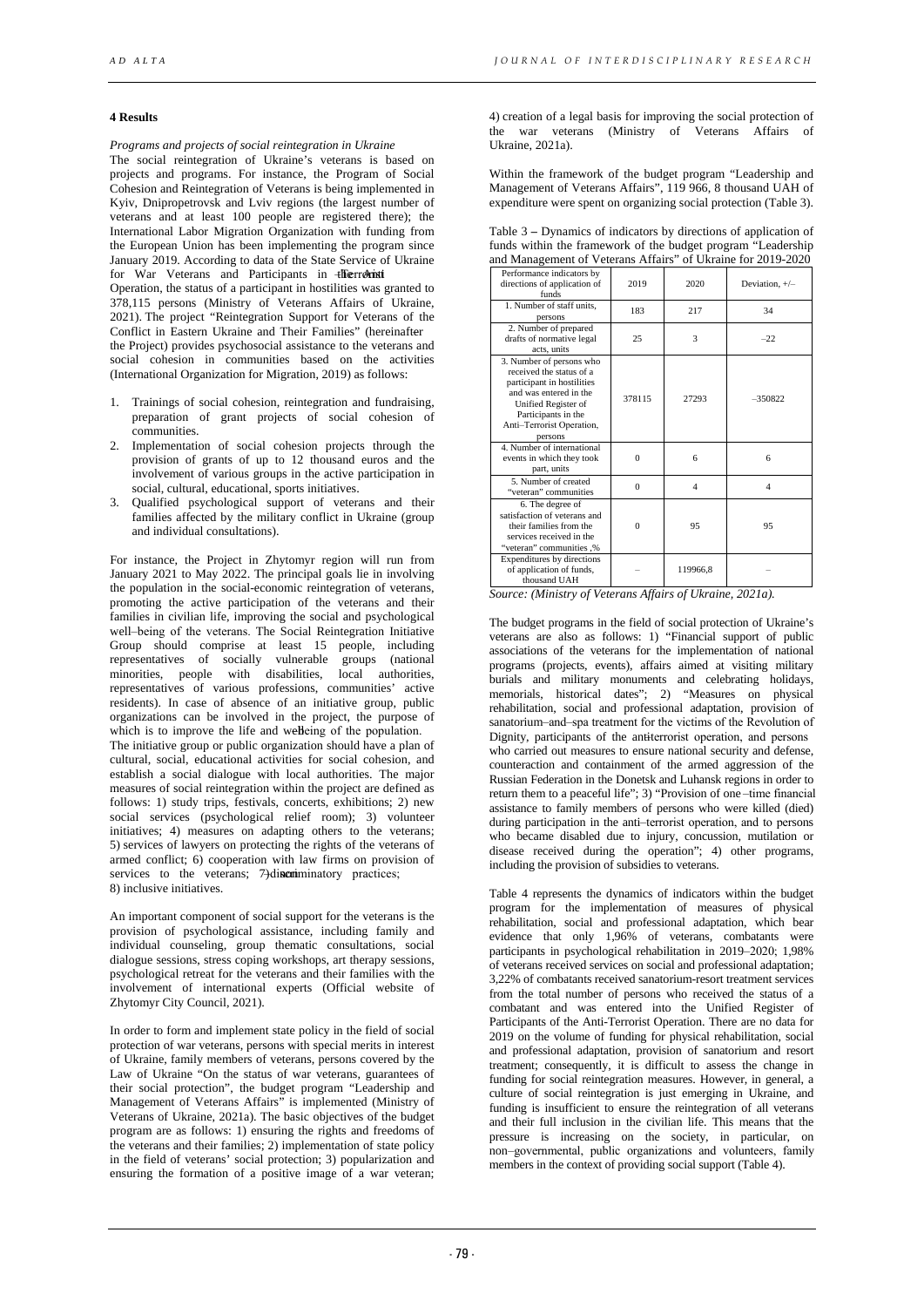#### **4 Results**

*Programs and projects of social reintegration in Ukraine*

The social reintegration of Ukraine's veterans is based on projects and programs. For instance, the Program of Social Cohesion and Reintegration of Veterans is being implemented in Kyiv, Dnipropetrovsk and Lviv regions (the largest number of veterans and at least 100 people are registered there); the International Labor Migration Organization with funding from the European Union has been implementing the program since January 2019. According to data of the State Service of Ukraine for War Veterans and Participants in +Herrorinti

Operation, the status of a participant in hostilities was granted to 378,115 persons (Ministry of Veterans Affairs of Ukraine, 2021). The project "Reintegration Support for Veterans of the Conflict in Eastern Ukraine and Their Families" (hereinafter

the Project) provides psychosocial assistance to the veterans and social cohesion in communities based on the activities (International Organization for Migration, 2019) as follows:

- 1. Trainings of social cohesion, reintegration and fundraising, preparation of grant projects of social cohesion of communities.
- 2. Implementation of social cohesion projects through the provision of grants of up to 12 thousand euros and the involvement of various groups in the active participation in social, cultural, educational, sports initiatives.
- 3. Qualified psychological support of veterans and their families affected by the military conflict in Ukraine (group and individual consultations).

For instance, the Project in Zhytomyr region will run from January 2021 to May 2022. The principal goals lie in involving the population in the social-economic reintegration of veterans, promoting the active participation of the veterans and their families in civilian life, improving the social and psychological well-being of the veterans. The Social Reintegration Initiative Group should comprise at least 15 people, including representatives of socially vulnerable groups (national minorities, people with disabilities, local authorities, representatives of various professions, communities' active residents). In case of absence of an initiative group, public organizations can be involved in the project, the purpose of which is to improve the life and well eing of the population. The initiative group or public organization should have a plan of cultural, social, educational activities for social cohesion, and establish a social dialogue with local authorities. The major measures of social reintegration within the project are defined as follows: 1) study trips, festivals, concerts, exhibitions; 2) new social services (psychological relief room); 3) volunteer initiatives; 4) measures on adapting others to the veterans;

5) services of lawyers on protecting the rights of the veterans of armed conflict; 6) cooperation with law firms on provision of services to the veterans; 7) discriminatory practices; 8) inclusive initiatives.

An important component of social support for the veterans is the provision of psychological assistance, including family and individual counseling, group thematic consultations, social dialogue sessions, stress coping workshops, art therapy sessions, psychological retreat for the veterans and their families with the involvement of international experts (Official website of Zhytomyr City Council, 2021).

In order to form and implement state policy in the field of social protection of war veterans, persons with special merits in interest of Ukraine, family members of veterans, persons covered by the Law of Ukraine "On the status of war veterans, guarantees of their social protection", the budget program "Leadership and Management of Veterans Affairs" is implemented (Ministry of Veterans of Ukraine, 2021a). The basic objectives of the budget program are as follows: 1) ensuring the rights and freedoms of the veterans and their families; 2) implementation of state policy in the field of veterans' social protection; 3) popularization and ensuring the formation of a positive image of a war veteran;

4) creation of a legal basis for improving the social protection of the war veterans (Ministry of Veterans Affairs of Ukraine, 2021a).

Within the framework of the budget program "Leadership and Management of Veterans Affairs", 119 966, 8 thousand UAH of expenditure were spent on organizing social protection (Table 3).

Table 3 **–** Dynamics of indicators by directions of application of funds within the framework of the budget program "Leadership and Management of Veterans Affairs" of Ukraine for 2019-2020

| Performance indicators by<br>directions of application of<br>funds                                                                                                                                 | 2019     | 2020                    | Deviation, $+/-$ |
|----------------------------------------------------------------------------------------------------------------------------------------------------------------------------------------------------|----------|-------------------------|------------------|
| 1. Number of staff units.<br>persons                                                                                                                                                               | 183      | 217                     | 34               |
| 2. Number of prepared<br>drafts of normative legal<br>acts, units                                                                                                                                  | 25       | 3                       | $-22$            |
| 3. Number of persons who<br>received the status of a<br>participant in hostilities<br>and was entered in the<br>Unified Register of<br>Participants in the<br>Anti-Terrorist Operation,<br>persons | 378115   | 27293                   | $-350822$        |
| 4. Number of international<br>events in which they took<br>part, units                                                                                                                             | $\Omega$ | 6                       | 6                |
| 5. Number of created<br>"veteran" communities                                                                                                                                                      | $\theta$ | $\overline{\mathbf{A}}$ | 4                |
| 6. The degree of<br>satisfaction of veterans and<br>their families from the<br>services received in the<br>"veteran" communities,%                                                                 | $\theta$ | 95                      | 95               |
| Expenditures by directions<br>of application of funds,<br>thousand UAH                                                                                                                             |          | 119966.8                |                  |

*Source: (Ministry of Veterans Affairs of Ukraine, 2021a).*

The budget programs in the field of social protection of Ukraine's veterans are also as follows: 1) "Financial support of public associations of the veterans for the implementation of national programs (projects, events), affairs aimed at visiting military burials and military monuments and celebrating holidays, memorials, historical dates"; 2) "Measures on physical rehabilitation, social and professional adaptation, provision of sanatorium-and-spa treatment for the victims of the Revolution of Dignity, participants of the antiterrorist operation, and persons who carried out measures to ensure national security and defense, counteraction and containment of the armed aggression of the Russian Federation in the Donetsk and Luhansk regions in order to return them to a peaceful life"; 3) "Provision of one-time financial assistance to family members of persons who were killed (died) during participation in the anti-terrorist operation, and to persons who became disabled due to injury, concussion, mutilation or disease received during the operation"; 4) other programs, including the provision of subsidies to veterans.

Table 4 represents the dynamics of indicators within the budget program for the implementation of measures of physical rehabilitation, social and professional adaptation, which bear evidence that only 1,96% of veterans, combatants were participants in psychological rehabilitation in 2019-2020; 1,98% of veterans received services on social and professional adaptation; 3,22% of combatants received sanatorium-resort treatment services from the total number of persons who received the status of a combatant and was entered into the Unified Register of Participants of the Anti-Terrorist Operation. There are no data for 2019 on the volume of funding for physical rehabilitation, social and professional adaptation, provision of sanatorium and resort treatment; consequently, it is difficult to assess the change in funding for social reintegration measures. However, in general, a culture of social reintegration is just emerging in Ukraine, and funding is insufficient to ensure the reintegration of all veterans and their full inclusion in the civilian life. This means that the pressure is increasing on the society, in particular, on non–governmental, public organizations and volunteers, family members in the context of providing social support (Table 4).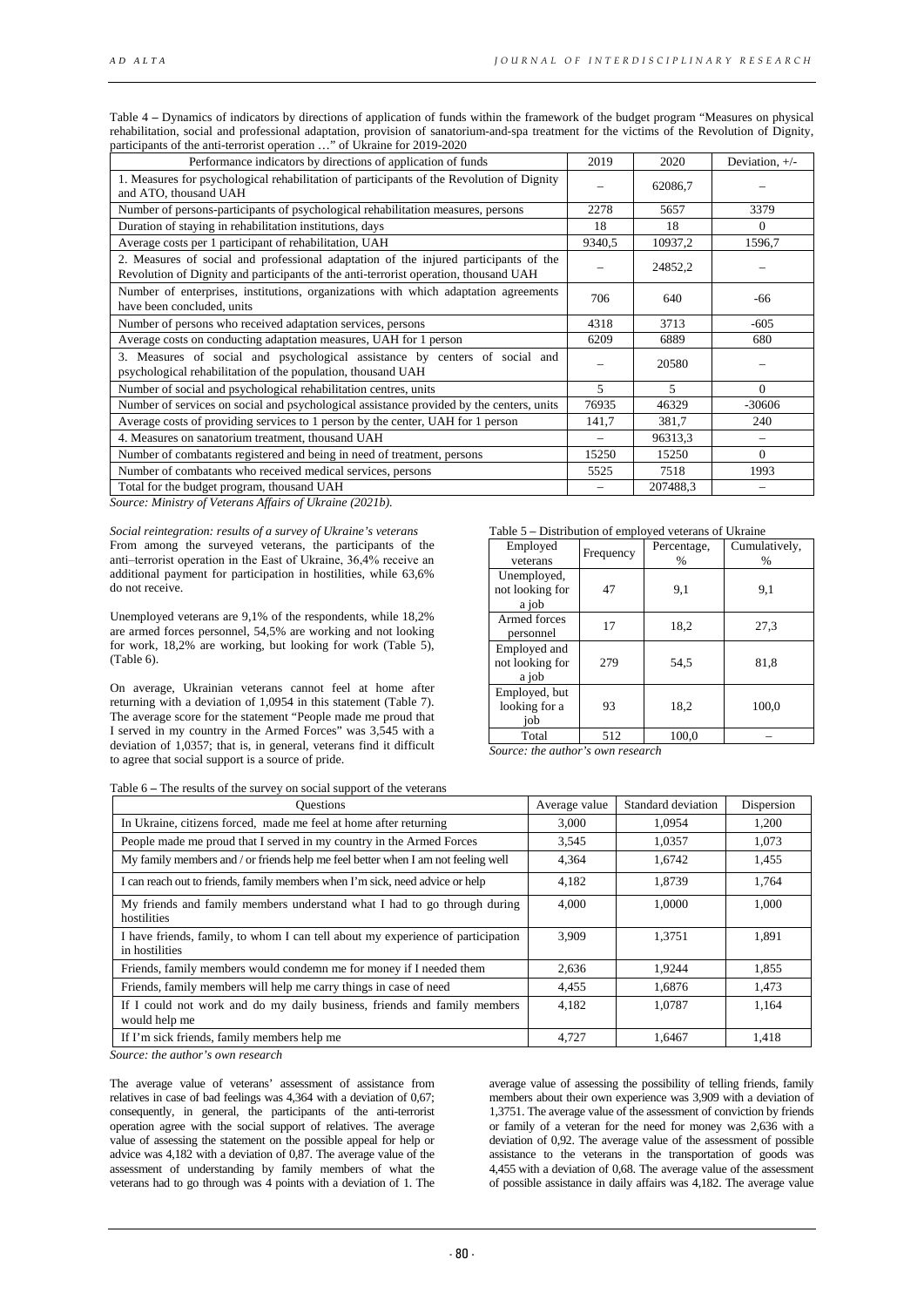Table 4 **–** Dynamics of indicators by directions of application of funds within the framework of the budget program "Measures on physical rehabilitation, social and professional adaptation, provision of sanatorium-and-spa treatment for the victims of the Revolution of Dignity, participants of the anti-terrorist operation …" of Ukraine for 2019-2020

| Performance indicators by directions of application of funds                                                                                                                 | 2019   | 2020     | Deviation, $+/-$ |
|------------------------------------------------------------------------------------------------------------------------------------------------------------------------------|--------|----------|------------------|
| 1. Measures for psychological rehabilitation of participants of the Revolution of Dignity<br>and ATO, thousand UAH                                                           |        | 62086,7  |                  |
| Number of persons-participants of psychological rehabilitation measures, persons                                                                                             | 2278   | 5657     | 3379             |
| Duration of staying in rehabilitation institutions, days                                                                                                                     | 18     | 18       | $\Omega$         |
| Average costs per 1 participant of rehabilitation, UAH                                                                                                                       | 9340,5 | 10937,2  | 1596,7           |
| 2. Measures of social and professional adaptation of the injured participants of the<br>Revolution of Dignity and participants of the anti-terrorist operation, thousand UAH |        | 24852,2  |                  |
| Number of enterprises, institutions, organizations with which adaptation agreements<br>have been concluded, units                                                            | 706    | 640      | -66              |
| Number of persons who received adaptation services, persons                                                                                                                  | 4318   | 3713     | $-605$           |
| Average costs on conducting adaptation measures, UAH for 1 person                                                                                                            | 6209   | 6889     | 680              |
| 3. Measures of social and psychological assistance by centers of social and<br>psychological rehabilitation of the population, thousand UAH                                  |        | 20580    |                  |
| Number of social and psychological rehabilitation centres, units                                                                                                             | 5      | 5        | $\Omega$         |
| Number of services on social and psychological assistance provided by the centers, units                                                                                     | 76935  | 46329    | $-30606$         |
| Average costs of providing services to 1 person by the center, UAH for 1 person                                                                                              | 141,7  | 381,7    | 240              |
| 4. Measures on sanatorium treatment, thousand UAH                                                                                                                            |        | 96313,3  |                  |
| Number of combatants registered and being in need of treatment, persons                                                                                                      | 15250  | 15250    | $\Omega$         |
| Number of combatants who received medical services, persons                                                                                                                  | 5525   | 7518     | 1993             |
| Total for the budget program, thousand UAH                                                                                                                                   |        | 207488,3 |                  |

*Source: Ministry of Veterans Affairs of Ukraine (2021b).*

*Social reintegration: results of a survey of Ukraine's veterans*  From among the surveyed veterans, the participants of the anti-terrorist operation in the East of Ukraine, 36,4% receive an additional payment for participation in hostilities, while 63,6% do not receive.

Unemployed veterans are 9,1% of the respondents, while 18,2% are armed forces personnel, 54,5% are working and not looking for work, 18,2% are working, but looking for work (Table 5), (Table 6).

On average, Ukrainian veterans cannot feel at home after returning with a deviation of 1,0954 in this statement (Table 7). The average score for the statement "People made me proud that I served in my country in the Armed Forces" was 3,545 with a deviation of 1,0357; that is, in general, veterans find it difficult to agree that social support is a source of pride.

| Employed<br>veterans                     | Frequency | Percentage,<br>% | Cumulatively,<br>$\%$ |
|------------------------------------------|-----------|------------------|-----------------------|
| Unemployed,<br>not looking for<br>a job  | 47        | 9,1              | 9,1                   |
| Armed forces<br>personnel                | 17        | 18,2             | 27,3                  |
| Employed and<br>not looking for<br>a job | 279       | 54.5             | 81,8                  |
| Employed, but<br>looking for a<br>job    | 93        | 18,2             | 100,0                 |
| Total                                    | 512       | 100.0            |                       |

*Source: the author's own research*

| Table 6 – The results of the survey on social support of the veterans |
|-----------------------------------------------------------------------|
| Questions                                                             |

| <b>Questions</b>                                                                                  | Average value | Standard deviation | Dispersion |
|---------------------------------------------------------------------------------------------------|---------------|--------------------|------------|
| In Ukraine, citizens forced, made me feel at home after returning                                 | 3.000         | 1,0954             | 1.200      |
| People made me proud that I served in my country in the Armed Forces                              | 3.545         | 1.0357             | 1.073      |
| My family members and / or friends help me feel better when I am not feeling well                 | 4,364         | 1.6742             | 1,455      |
| I can reach out to friends, family members when I'm sick, need advice or help                     | 4,182         | 1,8739             | 1,764      |
| My friends and family members understand what I had to go through during<br>hostilities           | 4.000         | 1.0000             | 1.000      |
| I have friends, family, to whom I can tell about my experience of participation<br>in hostilities | 3.909         | 1,3751             | 1.891      |
| Friends, family members would condemn me for money if I needed them                               | 2,636         | 1,9244             | 1,855      |
| Friends, family members will help me carry things in case of need                                 | 4,455         | 1,6876             | 1,473      |
| If I could not work and do my daily business, friends and family members<br>would help me         | 4,182         | 1,0787             | 1,164      |
| If I'm sick friends, family members help me                                                       | 4,727         | 1.6467             | 1,418      |

*Source: the author's own research*

The average value of veterans' assessment of assistance from relatives in case of bad feelings was 4,364 with a deviation of 0,67; consequently, in general, the participants of the anti-terrorist operation agree with the social support of relatives. The average value of assessing the statement on the possible appeal for help or advice was 4,182 with a deviation of 0,87. The average value of the assessment of understanding by family members of what the veterans had to go through was 4 points with a deviation of 1. The

average value of assessing the possibility of telling friends, family members about their own experience was 3,909 with a deviation of 1,3751. The average value of the assessment of conviction by friends or family of a veteran for the need for money was 2,636 with a deviation of 0,92. The average value of the assessment of possible assistance to the veterans in the transportation of goods was 4,455 with a deviation of 0,68. The average value of the assessment of possible assistance in daily affairs was 4,182. The average value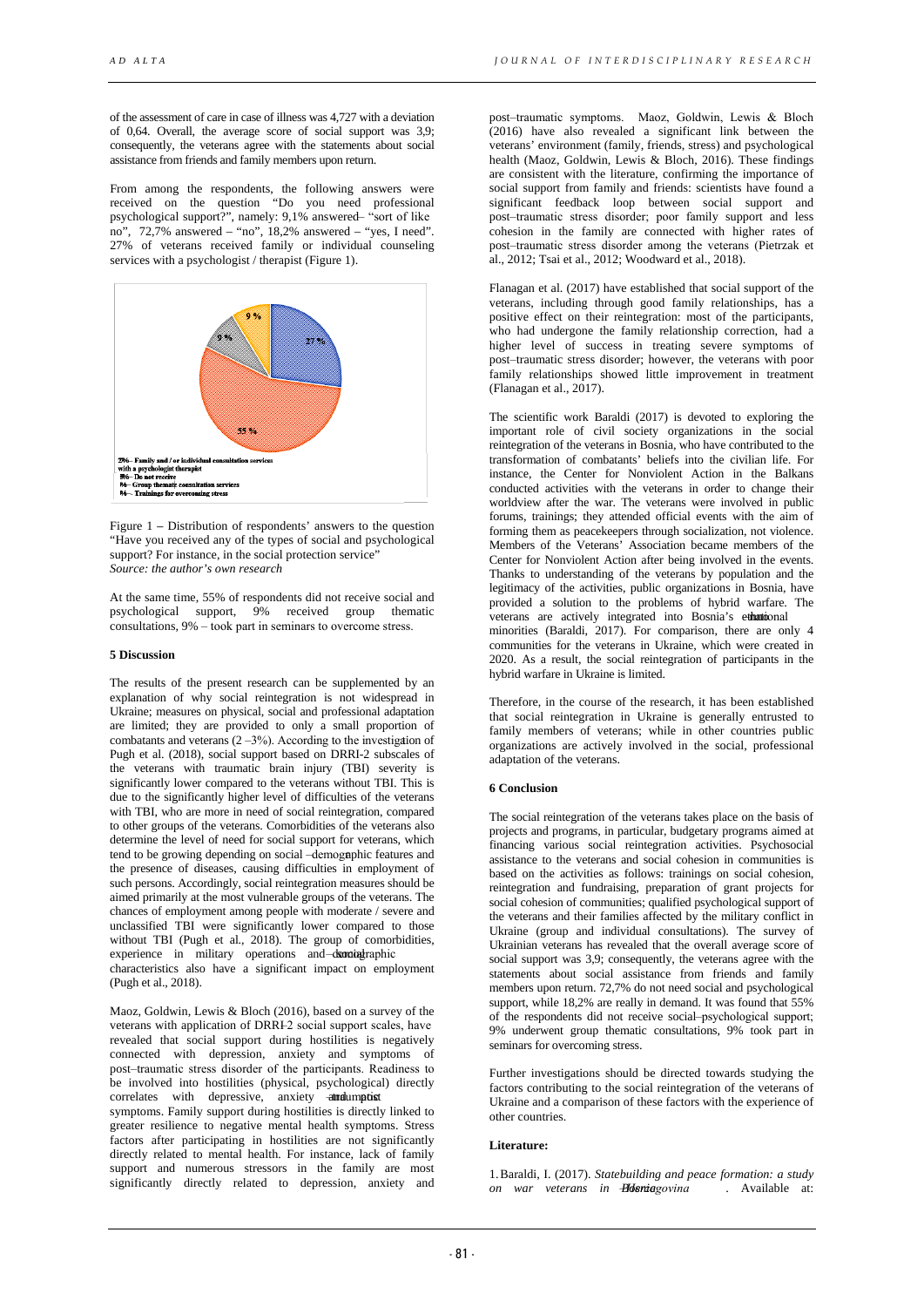of the assessment of care in case of illness was 4,727 with a deviation of 0,64. Overall, the average score of social support was 3,9; consequently, the veterans agree with the statements about social assistance from friends and family members upon return.

From among the respondents, the following answers were received on the question "Do you need professional psychological support?", namely: 9,1% answered- "sort of like no",  $72,7\%$  answered – "no",  $18,2\%$  answered – "yes, I need". 27% of veterans received family or individual counseling services with a psychologist / therapist (Figure 1).



Figure 1 – Distribution of respondents' answers to the question "Have you received any of the types of social and psychological support? For instance, in the social protection service' *Source: the author's own research*

At the same time, 55% of respondents did not receive social and psychological support, 9% received group thematic consultations, 9% ‒ took part in seminars to overcome stress.

# **5 Discussion**

The results of the present research can be supplemented by an explanation of why social reintegration is not widespread in Ukraine; measures on physical, social and professional adaptation are limited; they are provided to only a small proportion of combatants and veterans  $(2-3\%)$ . According to the investigation of Pugh et al. (2018), social support based on DRRI-2 subscales of the veterans with traumatic brain injury (TBI) severity is significantly lower compared to the veterans without TBI. This is due to the significantly higher level of difficulties of the veterans with TBI, who are more in need of social reintegration, compared to other groups of the veterans. Comorbidities of the veterans also determine the level of need for social support for veterans, which tend to be growing depending on social -demographic features and the presence of diseases, causing difficulties in employment of such persons. Accordingly, social reintegration measures should be aimed primarily at the most vulnerable groups of the veterans. The chances of employment among people with moderate / severe and unclassified TBI were significantly lower compared to those without TBI (Pugh et al., 2018). The group of comorbidities, experience in military operations and demographic

characteristics also have a significant impact on employment (Pugh et al., 2018).

Maoz, Goldwin, Lewis & Bloch (2016), based on a survey of the veterans with application of DRRI-2 social support scales, have revealed that social support during hostilities is negatively connected with depression, anxiety and symptoms of post-traumatic stress disorder of the participants. Readiness to be involved into hostilities (physical, psychological) directly correlates with depressive, anxiety annual post

symptoms. Family support during hostilities is directly linked to greater resilience to negative mental health symptoms. Stress factors after participating in hostilities are not significantly directly related to mental health. For instance, lack of family support and numerous stressors in the family are most significantly directly related to depression, anxiety and

post-traumatic symptoms. Maoz, Goldwin, Lewis & Bloch (2016) have also revealed a significant link between the veterans' environment (family, friends, stress) and psychological health (Maoz, Goldwin, Lewis & Bloch, 2016). These findings are consistent with the literature, confirming the importance of social support from family and friends: scientists have found a significant feedback loop between social support and post-traumatic stress disorder; poor family support and less cohesion in the family are connected with higher rates of post-traumatic stress disorder among the veterans (Pietrzak et al., 2012; Tsai et al., 2012; Woodward et al., 2018).

Flanagan et al. (2017) have established that social support of the veterans, including through good family relationships, has a positive effect on their reintegration: most of the participants, who had undergone the family relationship correction, had a higher level of success in treating severe symptoms of post-traumatic stress disorder; however, the veterans with poor family relationships showed little improvement in treatment (Flanagan et al., 2017).

The scientific work Baraldi (2017) is devoted to exploring the important role of civil society organizations in the social reintegration of the veterans in Bosnia, who have contributed to the transformation of combatants' beliefs into the civilian life. For instance, the Center for Nonviolent Action in the Balkans conducted activities with the veterans in order to change their worldview after the war. The veterans were involved in public forums, trainings; they attended official events with the aim of forming them as peacekeepers through socialization, not violence. Members of the Veterans' Association became members of the Center for Nonviolent Action after being involved in the events. Thanks to understanding of the veterans by population and the legitimacy of the activities, public organizations in Bosnia, have provided a solution to the problems of hybrid warfare. The veterans are actively integrated into Bosnia's ethnolonal minorities (Baraldi, 2017). For comparison, there are only 4 communities for the veterans in Ukraine, which were created in 2020. As a result, the social reintegration of participants in the

Therefore, in the course of the research, it has been established that social reintegration in Ukraine is generally entrusted to family members of veterans; while in other countries public organizations are actively involved in the social, professional adaptation of the veterans.

## **6 Conclusion**

hybrid warfare in Ukraine is limited.

The social reintegration of the veterans takes place on the basis of projects and programs, in particular, budgetary programs aimed at financing various social reintegration activities. Psychosocial assistance to the veterans and social cohesion in communities is based on the activities as follows: trainings on social cohesion, reintegration and fundraising, preparation of grant projects for social cohesion of communities; qualified psychological support of the veterans and their families affected by the military conflict in Ukraine (group and individual consultations). The survey of Ukrainian veterans has revealed that the overall average score of social support was 3,9; consequently, the veterans agree with the statements about social assistance from friends and family members upon return. 72,7% do not need social and psychological support, while 18,2% are really in demand. It was found that 55% of the respondents did not receive social‒psychological support; 9% underwent group thematic consultations, 9% took part in seminars for overcoming stress.

Further investigations should be directed towards studying the factors contributing to the social reintegration of the veterans of Ukraine and a comparison of these factors with the experience of other countries.

# **Literature:**

1.Baraldi, I. (2017). *Statebuilding and peace formation: a study on war veterans in Heniagovina* . Available at: